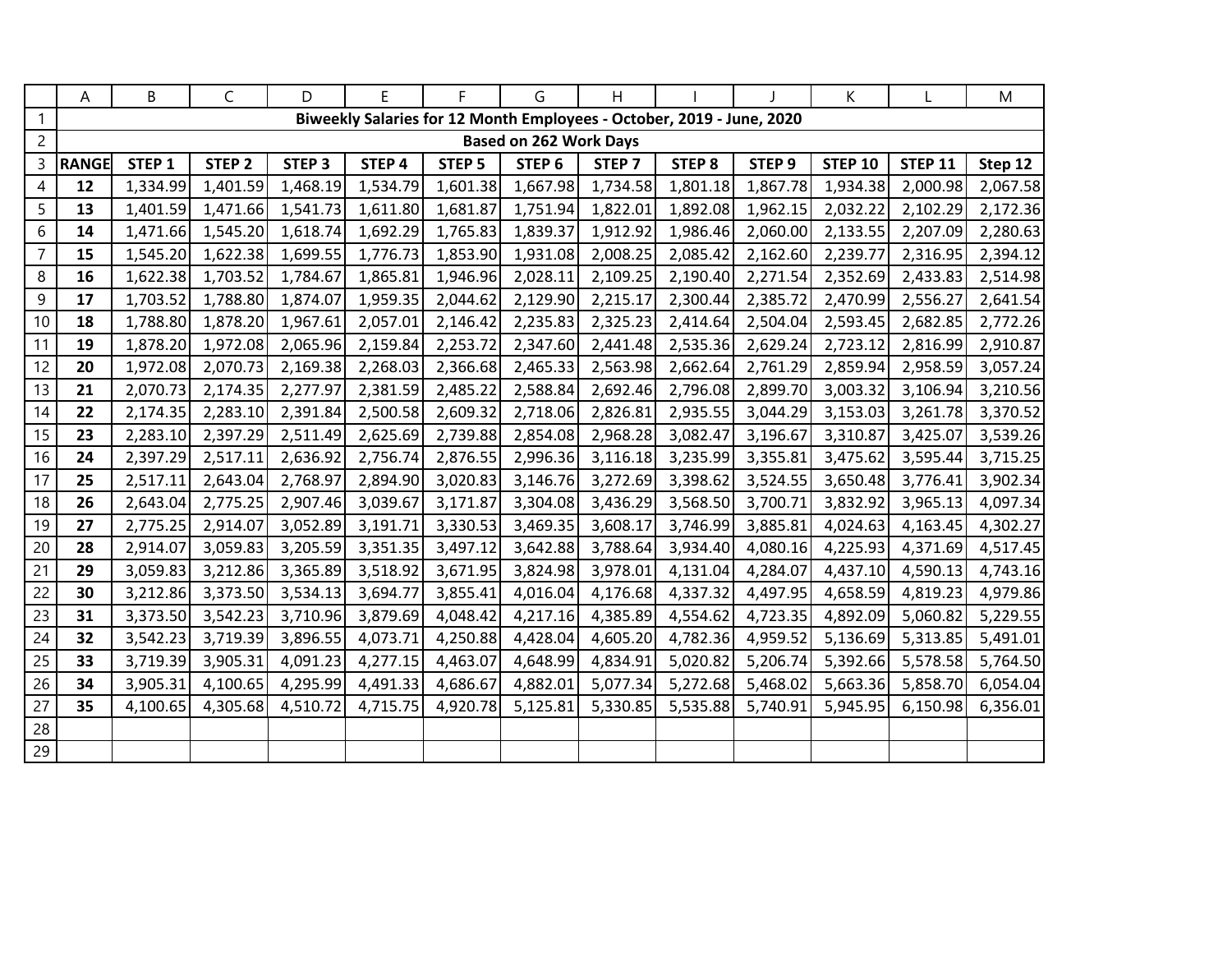|                | Α            | B                                                                     | $\mathsf{C}$      | D                 | E        | F.                | G                 | H                 |                   |                   | K              |                | M        |  |
|----------------|--------------|-----------------------------------------------------------------------|-------------------|-------------------|----------|-------------------|-------------------|-------------------|-------------------|-------------------|----------------|----------------|----------|--|
| $\mathbf{1}$   |              | Biweekly Salaries for 12 Month Employees - October, 2019 - June, 2020 |                   |                   |          |                   |                   |                   |                   |                   |                |                |          |  |
| $\overline{2}$ |              | <b>Based on 262 Work Days</b>                                         |                   |                   |          |                   |                   |                   |                   |                   |                |                |          |  |
| 3              | <b>RANGE</b> | STEP <sub>1</sub>                                                     | STEP <sub>2</sub> | STEP <sub>3</sub> | STEP 4   | STEP <sub>5</sub> | STEP <sub>6</sub> | STEP <sub>7</sub> | STEP <sub>8</sub> | STEP <sub>9</sub> | <b>STEP 10</b> | <b>STEP 11</b> | Step 12  |  |
| 4              | 12           | 1,334.99                                                              | 1,401.59          | 1,468.19          | 1,534.79 | 1,601.38          | 1,667.98          | 1,734.58          | 1,801.18          | 1,867.78          | 1,934.38       | 2,000.98       | 2,067.58 |  |
| 5              | 13           | 1,401.59                                                              | 1,471.66          | 1,541.73          | 1,611.80 | 1,681.87          | 1,751.94          | 1,822.01          | 1,892.08          | 1,962.15          | 2,032.22       | 2,102.29       | 2,172.36 |  |
| 6              | 14           | 1,471.66                                                              | 1,545.20          | 1,618.74          | 1,692.29 | 1,765.83          | 1,839.37          | 1,912.92          | 1,986.46          | 2,060.00          | 2,133.55       | 2,207.09       | 2,280.63 |  |
| $\overline{7}$ | 15           | 1,545.20                                                              | 1,622.38          | 1,699.55          | 1,776.73 | 1,853.90          | 1,931.08          | 2,008.25          | 2,085.42          | 2,162.60          | 2,239.77       | 2,316.95       | 2,394.12 |  |
| 8              | 16           | 1,622.38                                                              | 1,703.52          | 1,784.67          | 1,865.81 | 1,946.96          | 2,028.11          | 2,109.25          | 2,190.40          | 2,271.54          | 2,352.69       | 2,433.83       | 2,514.98 |  |
| 9              | 17           | 1,703.52                                                              | 1,788.80          | 1,874.07          | 1,959.35 | 2,044.62          | 2,129.90          | 2,215.17          | 2,300.44          | 2,385.72          | 2,470.99       | 2,556.27       | 2,641.54 |  |
| 10             | 18           | 1,788.80                                                              | 1,878.20          | 1,967.61          | 2,057.01 | 2,146.42          | 2,235.83          | 2,325.23          | 2,414.64          | 2,504.04          | 2,593.45       | 2,682.85       | 2,772.26 |  |
| 11             | 19           | 1,878.20                                                              | 1,972.08          | 2,065.96          | 2,159.84 | 2,253.72          | 2,347.60          | 2,441.48          | 2,535.36          | 2,629.24          | 2,723.12       | 2,816.99       | 2,910.87 |  |
| 12             | 20           | 1,972.08                                                              | 2,070.73          | 2,169.38          | 2,268.03 | 2,366.68          | 2,465.33          | 2,563.98          | 2,662.64          | 2,761.29          | 2,859.94       | 2,958.59       | 3,057.24 |  |
| 13             | 21           | 2,070.73                                                              | 2,174.35          | 2,277.97          | 2,381.59 | 2,485.22          | 2,588.84          | 2,692.46          | 2,796.08          | 2,899.70          | 3,003.32       | 3,106.94       | 3,210.56 |  |
| 14             | 22           | 2,174.35                                                              | 2,283.10          | 2,391.84          | 2,500.58 | 2,609.32          | 2,718.06          | 2,826.81          | 2,935.55          | 3,044.29          | 3,153.03       | 3,261.78       | 3,370.52 |  |
| 15             | 23           | 2,283.10                                                              | 2,397.29          | 2,511.49          | 2,625.69 | 2,739.88          | 2,854.08          | 2,968.28          | 3,082.47          | 3,196.67          | 3,310.87       | 3,425.07       | 3,539.26 |  |
| 16             | 24           | 2,397.29                                                              | 2,517.11          | 2,636.92          | 2,756.74 | 2,876.55          | 2,996.36          | 3,116.18          | 3,235.99          | 3,355.81          | 3,475.62       | 3,595.44       | 3,715.25 |  |
| 17             | 25           | 2,517.11                                                              | 2,643.04          | 2,768.97          | 2,894.90 | 3,020.83          | 3,146.76          | 3,272.69          | 3,398.62          | 3,524.55          | 3,650.48       | 3,776.41       | 3,902.34 |  |
| 18             | 26           | 2,643.04                                                              | 2,775.25          | 2,907.46          | 3,039.67 | 3,171.87          | 3,304.08          | 3,436.29          | 3,568.50          | 3,700.71          | 3,832.92       | 3,965.13       | 4,097.34 |  |
| 19             | 27           | 2,775.25                                                              | 2,914.07          | 3,052.89          | 3,191.71 | 3,330.53          | 3,469.35          | 3,608.17          | 3,746.99          | 3,885.81          | 4,024.63       | 4,163.45       | 4,302.27 |  |
| 20             | 28           | 2,914.07                                                              | 3,059.83          | 3,205.59          | 3,351.35 | 3,497.12          | 3,642.88          | 3,788.64          | 3,934.40          | 4,080.16          | 4,225.93       | 4,371.69       | 4,517.45 |  |
| 21             | 29           | 3,059.83                                                              | 3,212.86          | 3,365.89          | 3,518.92 | 3,671.95          | 3,824.98          | 3,978.01          | 4,131.04          | 4,284.07          | 4,437.10       | 4,590.13       | 4,743.16 |  |
| 22             | 30           | 3,212.86                                                              | 3,373.50          | 3,534.13          | 3,694.77 | 3,855.41          | 4,016.04          | 4,176.68          | 4,337.32          | 4,497.95          | 4,658.59       | 4,819.23       | 4,979.86 |  |
| 23             | 31           | 3,373.50                                                              | 3,542.23          | 3,710.96          | 3,879.69 | 4,048.42          | 4,217.16          | 4,385.89          | 4,554.62          | 4,723.35          | 4,892.09       | 5,060.82       | 5,229.55 |  |
| 24             | 32           | 3,542.23                                                              | 3,719.39          | 3,896.55          | 4,073.71 | 4,250.88          | 4,428.04          | 4,605.20          | 4,782.36          | 4,959.52          | 5,136.69       | 5,313.85       | 5,491.01 |  |
| 25             | 33           | 3,719.39                                                              | 3,905.31          | 4,091.23          | 4,277.15 | 4,463.07          | 4,648.99          | 4,834.91          | 5,020.82          | 5,206.74          | 5,392.66       | 5,578.58       | 5,764.50 |  |
| 26             | 34           | 3,905.31                                                              | 4,100.65          | 4,295.99          | 4,491.33 | 4,686.67          | 4,882.01          | 5,077.34          | 5,272.68          | 5,468.02          | 5,663.36       | 5,858.70       | 6,054.04 |  |
| 27             | 35           | 4,100.65                                                              | 4,305.68          | 4,510.72          | 4,715.75 | 4,920.78          | 5,125.81          | 5,330.85          | 5,535.88          | 5,740.91          | 5,945.95       | 6,150.98       | 6,356.01 |  |
| 28             |              |                                                                       |                   |                   |          |                   |                   |                   |                   |                   |                |                |          |  |
| 29             |              |                                                                       |                   |                   |          |                   |                   |                   |                   |                   |                |                |          |  |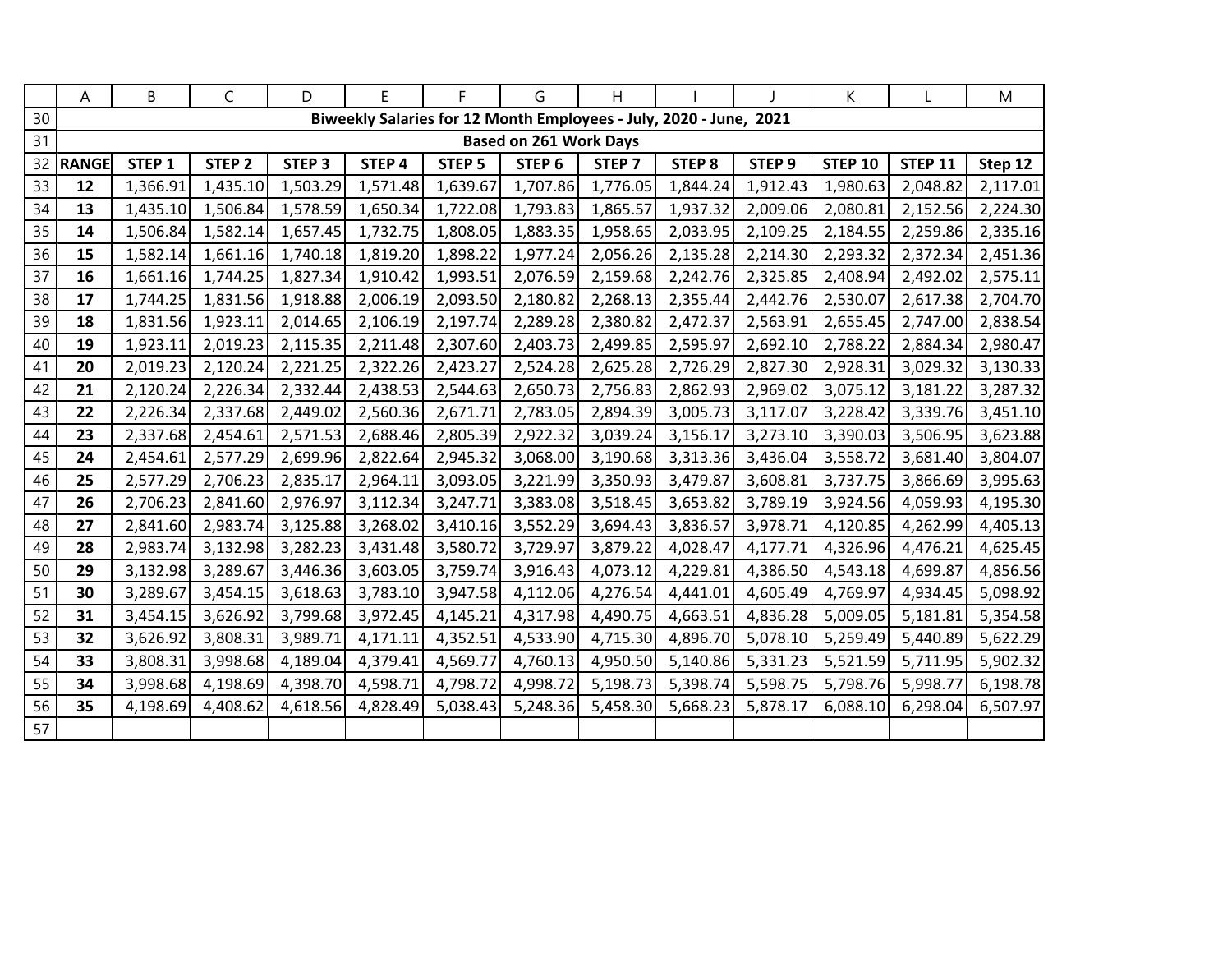|    | Α            | B                             | $\mathsf{C}$      | D                 | E        | F.                | G                                                                  | H                 |                   |                   | K              |                | M        |  |
|----|--------------|-------------------------------|-------------------|-------------------|----------|-------------------|--------------------------------------------------------------------|-------------------|-------------------|-------------------|----------------|----------------|----------|--|
| 30 |              |                               |                   |                   |          |                   | Biweekly Salaries for 12 Month Employees - July, 2020 - June, 2021 |                   |                   |                   |                |                |          |  |
| 31 |              | <b>Based on 261 Work Days</b> |                   |                   |          |                   |                                                                    |                   |                   |                   |                |                |          |  |
| 32 | <b>RANGE</b> | STEP <sub>1</sub>             | STEP <sub>2</sub> | STEP <sub>3</sub> | STEP 4   | STEP <sub>5</sub> | STEP <sub>6</sub>                                                  | STEP <sub>7</sub> | STEP <sub>8</sub> | STEP <sub>9</sub> | <b>STEP 10</b> | <b>STEP 11</b> | Step 12  |  |
| 33 | 12           | 1,366.91                      | 1,435.10          | 1,503.29          | 1,571.48 | 1,639.67          | 1,707.86                                                           | 1,776.05          | 1,844.24          | 1,912.43          | 1,980.63       | 2,048.82       | 2,117.01 |  |
| 34 | 13           | 1,435.10                      | 1,506.84          | 1,578.59          | 1,650.34 | 1,722.08          | 1,793.83                                                           | 1,865.57          | 1,937.32          | 2,009.06          | 2,080.81       | 2,152.56       | 2,224.30 |  |
| 35 | 14           | 1,506.84                      | 1,582.14          | 1,657.45          | 1,732.75 | 1,808.05          | 1,883.35                                                           | 1,958.65          | 2,033.95          | 2,109.25          | 2,184.55       | 2,259.86       | 2,335.16 |  |
| 36 | 15           | 1,582.14                      | 1,661.16          | 1,740.18          | 1,819.20 | 1,898.22          | 1,977.24                                                           | 2,056.26          | 2,135.28          | 2,214.30          | 2,293.32       | 2,372.34       | 2,451.36 |  |
| 37 | 16           | 1,661.16                      | 1,744.25          | 1,827.34          | 1,910.42 | 1,993.51          | 2,076.59                                                           | 2,159.68          | 2,242.76          | 2,325.85          | 2,408.94       | 2,492.02       | 2,575.11 |  |
| 38 | 17           | 1,744.25                      | 1,831.56          | 1,918.88          | 2,006.19 | 2,093.50          | 2,180.82                                                           | 2,268.13          | 2,355.44          | 2,442.76          | 2,530.07       | 2,617.38       | 2,704.70 |  |
| 39 | 18           | 1,831.56                      | 1,923.11          | 2,014.65          | 2,106.19 | 2,197.74          | 2,289.28                                                           | 2,380.82          | 2,472.37          | 2,563.91          | 2,655.45       | 2,747.00       | 2,838.54 |  |
| 40 | 19           | 1,923.11                      | 2,019.23          | 2,115.35          | 2,211.48 | 2,307.60          | 2,403.73                                                           | 2,499.85          | 2,595.97          | 2,692.10          | 2,788.22       | 2,884.34       | 2,980.47 |  |
| 41 | 20           | 2,019.23                      | 2,120.24          | 2,221.25          | 2,322.26 | 2,423.27          | 2,524.28                                                           | 2,625.28          | 2,726.29          | 2,827.30          | 2,928.31       | 3,029.32       | 3,130.33 |  |
| 42 | 21           | 2,120.24                      | 2,226.34          | 2,332.44          | 2,438.53 | 2,544.63          | 2,650.73                                                           | 2,756.83          | 2,862.93          | 2,969.02          | 3,075.12       | 3,181.22       | 3,287.32 |  |
| 43 | 22           | 2,226.34                      | 2,337.68          | 2,449.02          | 2,560.36 | 2,671.71          | 2,783.05                                                           | 2,894.39          | 3,005.73          | 3,117.07          | 3,228.42       | 3,339.76       | 3,451.10 |  |
| 44 | 23           | 2,337.68                      | 2,454.61          | 2,571.53          | 2,688.46 | 2,805.39          | 2,922.32                                                           | 3,039.24          | 3,156.17          | 3,273.10          | 3,390.03       | 3,506.95       | 3,623.88 |  |
| 45 | 24           | 2,454.61                      | 2,577.29          | 2,699.96          | 2,822.64 | 2,945.32          | 3,068.00                                                           | 3,190.68          | 3,313.36          | 3,436.04          | 3,558.72       | 3,681.40       | 3,804.07 |  |
| 46 | 25           | 2,577.29                      | 2,706.23          | 2,835.17          | 2,964.11 | 3,093.05          | 3,221.99                                                           | 3,350.93          | 3,479.87          | 3,608.81          | 3,737.75       | 3,866.69       | 3,995.63 |  |
| 47 | 26           | 2,706.23                      | 2,841.60          | 2,976.97          | 3,112.34 | 3,247.71          | 3,383.08                                                           | 3,518.45          | 3,653.82          | 3,789.19          | 3,924.56       | 4,059.93       | 4,195.30 |  |
| 48 | 27           | 2,841.60                      | 2,983.74          | 3,125.88          | 3,268.02 | 3,410.16          | 3,552.29                                                           | 3,694.43          | 3,836.57          | 3,978.71          | 4,120.85       | 4,262.99       | 4,405.13 |  |
| 49 | 28           | 2,983.74                      | 3,132.98          | 3,282.23          | 3,431.48 | 3,580.72          | 3,729.97                                                           | 3,879.22          | 4,028.47          | 4,177.71          | 4,326.96       | 4,476.21       | 4,625.45 |  |
| 50 | 29           | 3,132.98                      | 3,289.67          | 3,446.36          | 3,603.05 | 3,759.74          | 3,916.43                                                           | 4,073.12          | 4,229.81          | 4,386.50          | 4,543.18       | 4,699.87       | 4,856.56 |  |
| 51 | 30           | 3,289.67                      | 3,454.15          | 3,618.63          | 3,783.10 | 3,947.58          | 4,112.06                                                           | 4,276.54          | 4,441.01          | 4,605.49          | 4,769.97       | 4,934.45       | 5,098.92 |  |
| 52 | 31           | 3,454.15                      | 3,626.92          | 3,799.68          | 3,972.45 | 4,145.21          | 4,317.98                                                           | 4,490.75          | 4,663.51          | 4,836.28          | 5,009.05       | 5,181.81       | 5,354.58 |  |
| 53 | 32           | 3,626.92                      | 3,808.31          | 3,989.71          | 4,171.11 | 4,352.51          | 4,533.90                                                           | 4,715.30          | 4,896.70          | 5,078.10          | 5,259.49       | 5,440.89       | 5,622.29 |  |
| 54 | 33           | 3,808.31                      | 3,998.68          | 4,189.04          | 4,379.41 | 4,569.77          | 4,760.13                                                           | 4,950.50          | 5,140.86          | 5,331.23          | 5,521.59       | 5,711.95       | 5,902.32 |  |
| 55 | 34           | 3,998.68                      | 4,198.69          | 4,398.70          | 4,598.71 | 4,798.72          | 4,998.72                                                           | 5,198.73          | 5,398.74          | 5,598.75          | 5,798.76       | 5,998.77       | 6,198.78 |  |
| 56 | 35           | 4,198.69                      | 4,408.62          | 4,618.56          | 4,828.49 | 5,038.43          | 5,248.36                                                           | 5,458.30          | 5,668.23          | 5,878.17          | 6,088.10       | 6,298.04       | 6,507.97 |  |
| 57 |              |                               |                   |                   |          |                   |                                                                    |                   |                   |                   |                |                |          |  |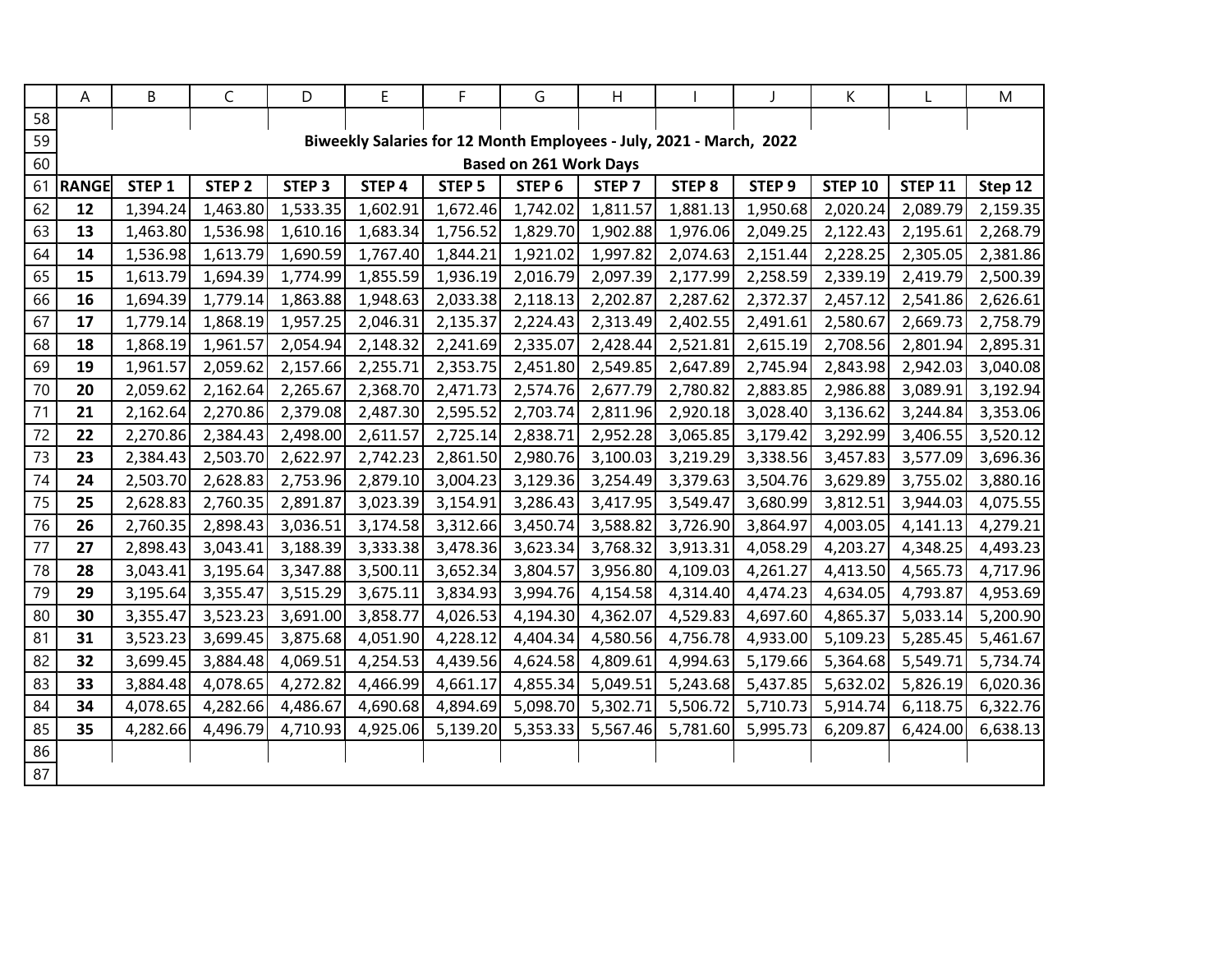|    | А            | B                 | $\mathsf{C}$      | D                 | E                                                                   | F.                | G                             | Η                 |               |                   | К              |                | M        |
|----|--------------|-------------------|-------------------|-------------------|---------------------------------------------------------------------|-------------------|-------------------------------|-------------------|---------------|-------------------|----------------|----------------|----------|
| 58 |              |                   |                   |                   |                                                                     |                   |                               |                   |               |                   |                |                |          |
| 59 |              |                   |                   |                   | Biweekly Salaries for 12 Month Employees - July, 2021 - March, 2022 |                   |                               |                   |               |                   |                |                |          |
| 60 |              |                   |                   |                   |                                                                     |                   | <b>Based on 261 Work Days</b> |                   |               |                   |                |                |          |
| 61 | <b>RANGE</b> | STEP <sub>1</sub> | STEP <sub>2</sub> | STEP <sub>3</sub> | STEP 4                                                              | STEP <sub>5</sub> | STEP <sub>6</sub>             | STEP <sub>7</sub> | <b>STEP 8</b> | STEP <sub>9</sub> | <b>STEP 10</b> | <b>STEP 11</b> | Step 12  |
| 62 | 12           | 1,394.24          | 1,463.80          | 1,533.35          | 1,602.91                                                            | 1,672.46          | 1,742.02                      | 1,811.57          | 1,881.13      | 1,950.68          | 2,020.24       | 2,089.79       | 2,159.35 |
| 63 | 13           | 1,463.80          | 1,536.98          | 1,610.16          | 1,683.34                                                            | 1,756.52          | 1,829.70                      | 1,902.88          | 1,976.06      | 2,049.25          | 2,122.43       | 2,195.61       | 2,268.79 |
| 64 | 14           | 1,536.98          | 1,613.79          | 1,690.59          | 1,767.40                                                            | 1,844.21          | 1,921.02                      | 1,997.82          | 2,074.63      | 2,151.44          | 2,228.25       | 2,305.05       | 2,381.86 |
| 65 | 15           | 1,613.79          | 1,694.39          | 1,774.99          | 1,855.59                                                            | 1,936.19          | 2,016.79                      | 2,097.39          | 2,177.99      | 2,258.59          | 2,339.19       | 2,419.79       | 2,500.39 |
| 66 | 16           | 1,694.39          | 1,779.14          | 1,863.88          | 1,948.63                                                            | 2,033.38          | 2,118.13                      | 2,202.87          | 2,287.62      | 2,372.37          | 2,457.12       | 2,541.86       | 2,626.61 |
| 67 | 17           | 1,779.14          | 1,868.19          | 1,957.25          | 2,046.31                                                            | 2,135.37          | 2,224.43                      | 2,313.49          | 2,402.55      | 2,491.61          | 2,580.67       | 2,669.73       | 2,758.79 |
| 68 | 18           | 1,868.19          | 1,961.57          | 2,054.94          | 2,148.32                                                            | 2,241.69          | 2,335.07                      | 2,428.44          | 2,521.81      | 2,615.19          | 2,708.56       | 2,801.94       | 2,895.31 |
| 69 | 19           | 1,961.57          | 2,059.62          | 2,157.66          | 2,255.71                                                            | 2,353.75          | 2,451.80                      | 2,549.85          | 2,647.89      | 2,745.94          | 2,843.98       | 2,942.03       | 3,040.08 |
| 70 | 20           | 2,059.62          | 2,162.64          | 2,265.67          | 2,368.70                                                            | 2,471.73          | 2,574.76                      | 2,677.79          | 2,780.82      | 2,883.85          | 2,986.88       | 3,089.91       | 3,192.94 |
| 71 | 21           | 2,162.64          | 2,270.86          | 2,379.08          | 2,487.30                                                            | 2,595.52          | 2,703.74                      | 2,811.96          | 2,920.18      | 3,028.40          | 3,136.62       | 3,244.84       | 3,353.06 |
| 72 | 22           | 2,270.86          | 2,384.43          | 2,498.00          | 2,611.57                                                            | 2,725.14          | 2,838.71                      | 2,952.28          | 3,065.85      | 3,179.42          | 3,292.99       | 3,406.55       | 3,520.12 |
| 73 | 23           | 2,384.43          | 2,503.70          | 2,622.97          | 2,742.23                                                            | 2,861.50          | 2,980.76                      | 3,100.03          | 3,219.29      | 3,338.56          | 3,457.83       | 3,577.09       | 3,696.36 |
| 74 | 24           | 2,503.70          | 2,628.83          | 2,753.96          | 2,879.10                                                            | 3,004.23          | 3,129.36                      | 3,254.49          | 3,379.63      | 3,504.76          | 3,629.89       | 3,755.02       | 3,880.16 |
| 75 | 25           | 2,628.83          | 2,760.35          | 2,891.87          | 3,023.39                                                            | 3,154.91          | 3,286.43                      | 3,417.95          | 3,549.47      | 3,680.99          | 3,812.51       | 3,944.03       | 4,075.55 |
| 76 | 26           | 2,760.35          | 2,898.43          | 3,036.51          | 3,174.58                                                            | 3,312.66          | 3,450.74                      | 3,588.82          | 3,726.90      | 3,864.97          | 4,003.05       | 4,141.13       | 4,279.21 |
| 77 | 27           | 2,898.43          | 3,043.41          | 3,188.39          | 3,333.38                                                            | 3,478.36          | 3,623.34                      | 3,768.32          | 3,913.31      | 4,058.29          | 4,203.27       | 4,348.25       | 4,493.23 |
| 78 | 28           | 3,043.41          | 3,195.64          | 3,347.88          | 3,500.11                                                            | 3,652.34          | 3,804.57                      | 3,956.80          | 4,109.03      | 4,261.27          | 4,413.50       | 4,565.73       | 4,717.96 |
| 79 | 29           | 3,195.64          | 3,355.47          | 3,515.29          | 3,675.11                                                            | 3,834.93          | 3,994.76                      | 4,154.58          | 4,314.40      | 4,474.23          | 4,634.05       | 4,793.87       | 4,953.69 |
| 80 | 30           | 3,355.47          | 3,523.23          | 3,691.00          | 3,858.77                                                            | 4,026.53          | 4,194.30                      | 4,362.07          | 4,529.83      | 4,697.60          | 4,865.37       | 5,033.14       | 5,200.90 |
| 81 | 31           | 3,523.23          | 3,699.45          | 3,875.68          | 4,051.90                                                            | 4,228.12          | 4,404.34                      | 4,580.56          | 4,756.78      | 4,933.00          | 5,109.23       | 5,285.45       | 5,461.67 |
| 82 | 32           | 3,699.45          | 3,884.48          | 4,069.51          | 4,254.53                                                            | 4,439.56          | 4,624.58                      | 4,809.61          | 4,994.63      | 5,179.66          | 5,364.68       | 5,549.71       | 5,734.74 |
| 83 | 33           | 3,884.48          | 4,078.65          | 4,272.82          | 4,466.99                                                            | 4,661.17          | 4,855.34                      | 5,049.51          | 5,243.68      | 5,437.85          | 5,632.02       | 5,826.19       | 6,020.36 |
| 84 | 34           | 4,078.65          | 4,282.66          | 4,486.67          | 4,690.68                                                            | 4,894.69          | 5,098.70                      | 5,302.71          | 5,506.72      | 5,710.73          | 5,914.74       | 6,118.75       | 6,322.76 |
| 85 | 35           | 4,282.66          | 4,496.79          | 4,710.93          | 4,925.06                                                            | 5,139.20          | 5,353.33                      | 5,567.46          | 5,781.60      | 5,995.73          | 6,209.87       | 6,424.00       | 6,638.13 |
| 86 |              |                   |                   |                   |                                                                     |                   |                               |                   |               |                   |                |                |          |
| 87 |              |                   |                   |                   |                                                                     |                   |                               |                   |               |                   |                |                |          |